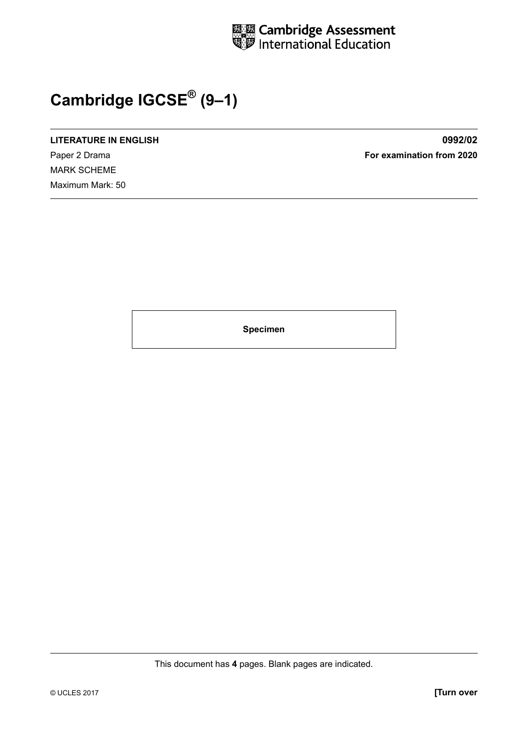

## **Cambridge IGCSE® (9–1)**

**LITERATURE IN ENGLISH 0992/02**

MARK SCHEME Maximum Mark: 50

Paper 2 Drama **For examination from 2020**

**Specimen**

This document has **4** pages. Blank pages are indicated.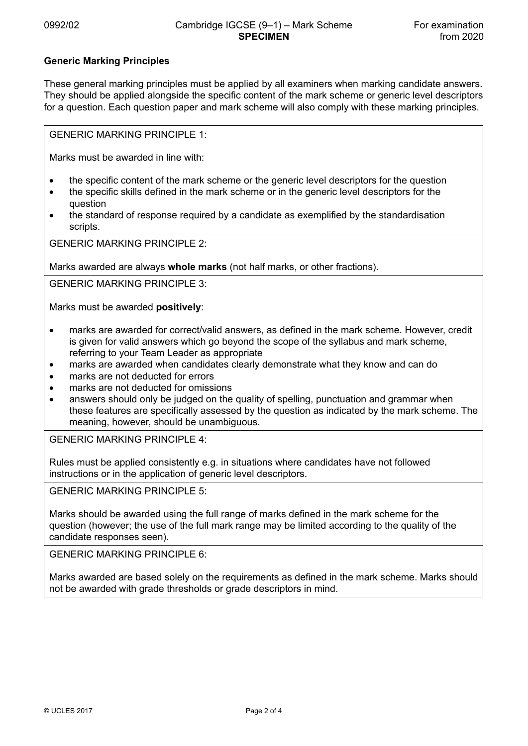## **Generic Marking Principles**

These general marking principles must be applied by all examiners when marking candidate answers. They should be applied alongside the specific content of the mark scheme or generic level descriptors for a question. Each question paper and mark scheme will also comply with these marking principles.

GENERIC MARKING PRINCIPLE 1:

Marks must be awarded in line with:

- the specific content of the mark scheme or the generic level descriptors for the question
- the specific skills defined in the mark scheme or in the generic level descriptors for the question
- the standard of response required by a candidate as exemplified by the standardisation scripts.

GENERIC MARKING PRINCIPLE 2:

Marks awarded are always **whole marks** (not half marks, or other fractions).

GENERIC MARKING PRINCIPLE 3:

Marks must be awarded **positively**:

- marks are awarded for correct/valid answers, as defined in the mark scheme. However, credit is given for valid answers which go beyond the scope of the syllabus and mark scheme, referring to your Team Leader as appropriate
- marks are awarded when candidates clearly demonstrate what they know and can do
- marks are not deducted for errors
- marks are not deducted for omissions
- answers should only be judged on the quality of spelling, punctuation and grammar when these features are specifically assessed by the question as indicated by the mark scheme. The meaning, however, should be unambiguous.

GENERIC MARKING PRINCIPLE 4:

Rules must be applied consistently e.g. in situations where candidates have not followed instructions or in the application of generic level descriptors.

GENERIC MARKING PRINCIPLE 5:

Marks should be awarded using the full range of marks defined in the mark scheme for the question (however; the use of the full mark range may be limited according to the quality of the candidate responses seen).

GENERIC MARKING PRINCIPLE 6:

Marks awarded are based solely on the requirements as defined in the mark scheme. Marks should not be awarded with grade thresholds or grade descriptors in mind.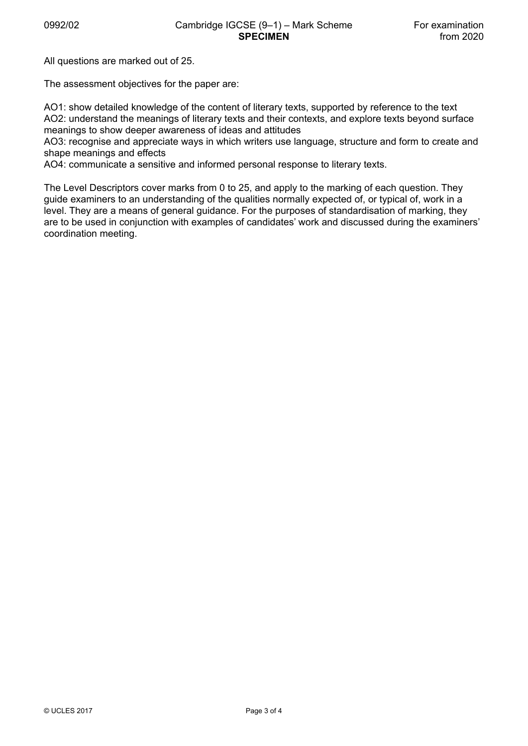All questions are marked out of 25.

The assessment objectives for the paper are:

AO1: show detailed knowledge of the content of literary texts, supported by reference to the text AO2: understand the meanings of literary texts and their contexts, and explore texts beyond surface meanings to show deeper awareness of ideas and attitudes

AO3: recognise and appreciate ways in which writers use language, structure and form to create and shape meanings and effects

AO4: communicate a sensitive and informed personal response to literary texts.

The Level Descriptors cover marks from 0 to 25, and apply to the marking of each question. They guide examiners to an understanding of the qualities normally expected of, or typical of, work in a level. They are a means of general guidance. For the purposes of standardisation of marking, they are to be used in conjunction with examples of candidates' work and discussed during the examiners' coordination meeting.